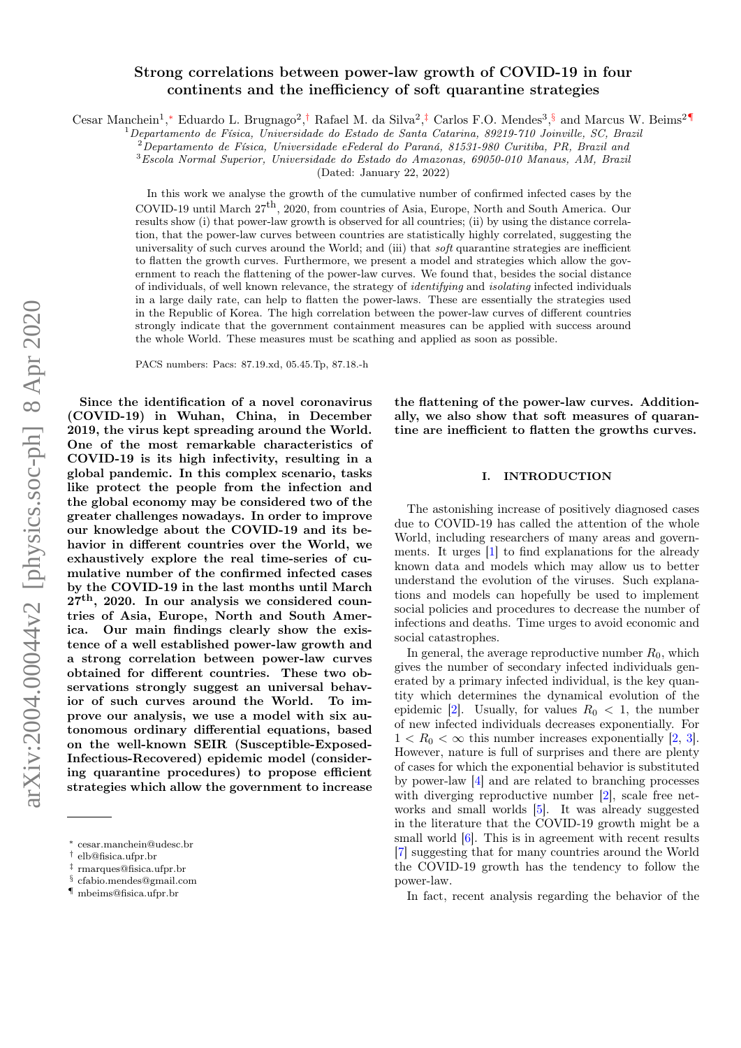# arXiv:2004.00044v2 [physics.soc-ph] 8 Apr 2020 arXiv:2004.00044v2 [physics.soc-ph] 8 Apr 2020

# Strong correlations between power-law growth of COVID-19 in four continents and the inefficiency of soft quarantine strategies

Cesar Manchein<sup>1</sup>,\* Eduardo L. Brugnago<sup>2</sup>,<sup>[†](#page-0-1)</sup> Rafael M. da Silva<sup>2</sup>,<sup>[‡](#page-0-2)</sup> Carlos F.O. Mendes<sup>3</sup>,[§](#page-0-3) and Marcus W. Beims<sup>2[¶](#page-0-4)</sup>

 $1$ Departamento de Física, Universidade do Estado de Santa Catarina, 89219-710 Joinville, SC, Brazil

 $2$ Departamento de Física, Universidade eFederal do Paraná, 81531-980 Curitiba, PR, Brazil and

<sup>3</sup>Escola Normal Superior, Universidade do Estado do Amazonas, 69050-010 Manaus, AM, Brazil

(Dated: January 22, 2022)

In this work we analyse the growth of the cumulative number of confirmed infected cases by the COVID-19 until March  $27<sup>th</sup>$ , 2020, from countries of Asia, Europe, North and South America. Our results show (i) that power-law growth is observed for all countries; (ii) by using the distance correlation, that the power-law curves between countries are statistically highly correlated, suggesting the universality of such curves around the World; and (iii) that *soft* quarantine strategies are inefficient to flatten the growth curves. Furthermore, we present a model and strategies which allow the government to reach the flattening of the power-law curves. We found that, besides the social distance of individuals, of well known relevance, the strategy of identifying and isolating infected individuals in a large daily rate, can help to flatten the power-laws. These are essentially the strategies used in the Republic of Korea. The high correlation between the power-law curves of different countries strongly indicate that the government containment measures can be applied with success around the whole World. These measures must be scathing and applied as soon as possible.

PACS numbers: Pacs: 87.19.xd, 05.45.Tp, 87.18.-h

Since the identification of a novel coronavirus (COVID-19) in Wuhan, China, in December 2019, the virus kept spreading around the World. One of the most remarkable characteristics of COVID-19 is its high infectivity, resulting in a global pandemic. In this complex scenario, tasks like protect the people from the infection and the global economy may be considered two of the greater challenges nowadays. In order to improve our knowledge about the COVID-19 and its behavior in different countries over the World, we exhaustively explore the real time-series of cumulative number of the confirmed infected cases by the COVID-19 in the last months until March  $27<sup>th</sup>$ , 2020. In our analysis we considered countries of Asia, Europe, North and South America. Our main findings clearly show the existence of a well established power-law growth and a strong correlation between power-law curves obtained for different countries. These two observations strongly suggest an universal behavior of such curves around the World. To improve our analysis, we use a model with six autonomous ordinary differential equations, based on the well-known SEIR (Susceptible-Exposed-Infectious-Recovered) epidemic model (considering quarantine procedures) to propose efficient strategies which allow the government to increase

<span id="page-0-3"></span>§ [cfabio.mendes@gmail.com](mailto:cfabio.mendes@gmail.com)

the flattening of the power-law curves. Additionally, we also show that soft measures of quarantine are inefficient to flatten the growths curves.

# I. INTRODUCTION

The astonishing increase of positively diagnosed cases due to COVID-19 has called the attention of the whole World, including researchers of many areas and governments. It urges [\[1\]](#page-8-0) to find explanations for the already known data and models which may allow us to better understand the evolution of the viruses. Such explanations and models can hopefully be used to implement social policies and procedures to decrease the number of infections and deaths. Time urges to avoid economic and social catastrophes.

In general, the average reproductive number  $R_0$ , which gives the number of secondary infected individuals generated by a primary infected individual, is the key quantity which determines the dynamical evolution of the epidemic [\[2\]](#page-8-1). Usually, for values  $R_0 < 1$ , the number of new infected individuals decreases exponentially. For  $1 < R_0 < \infty$  this number increases exponentially [\[2,](#page-8-1) [3\]](#page-8-2). However, nature is full of surprises and there are plenty of cases for which the exponential behavior is substituted by power-law [\[4\]](#page-8-3) and are related to branching processes with diverging reproductive number [\[2\]](#page-8-1), scale free networks and small worlds [\[5\]](#page-9-0). It was already suggested in the literature that the COVID-19 growth might be a small world  $[6]$ . This is in agreement with recent results [\[7\]](#page-9-2) suggesting that for many countries around the World the COVID-19 growth has the tendency to follow the power-law.

In fact, recent analysis regarding the behavior of the

<span id="page-0-0"></span><sup>∗</sup> [cesar.manchein@udesc.br](mailto:cesar.manchein@udesc.br)

<span id="page-0-1"></span><sup>†</sup> [elb@fisica.ufpr.br](mailto:elb@fisica.ufpr.br)

<span id="page-0-2"></span><sup>‡</sup> [rmarques@fisica.ufpr.br](mailto:rmarques@fisica.ufpr.br)

<span id="page-0-4"></span> $\P$ [mbeims@fisica.ufpr.br](mailto:mbeims@fisica.ufpr.br)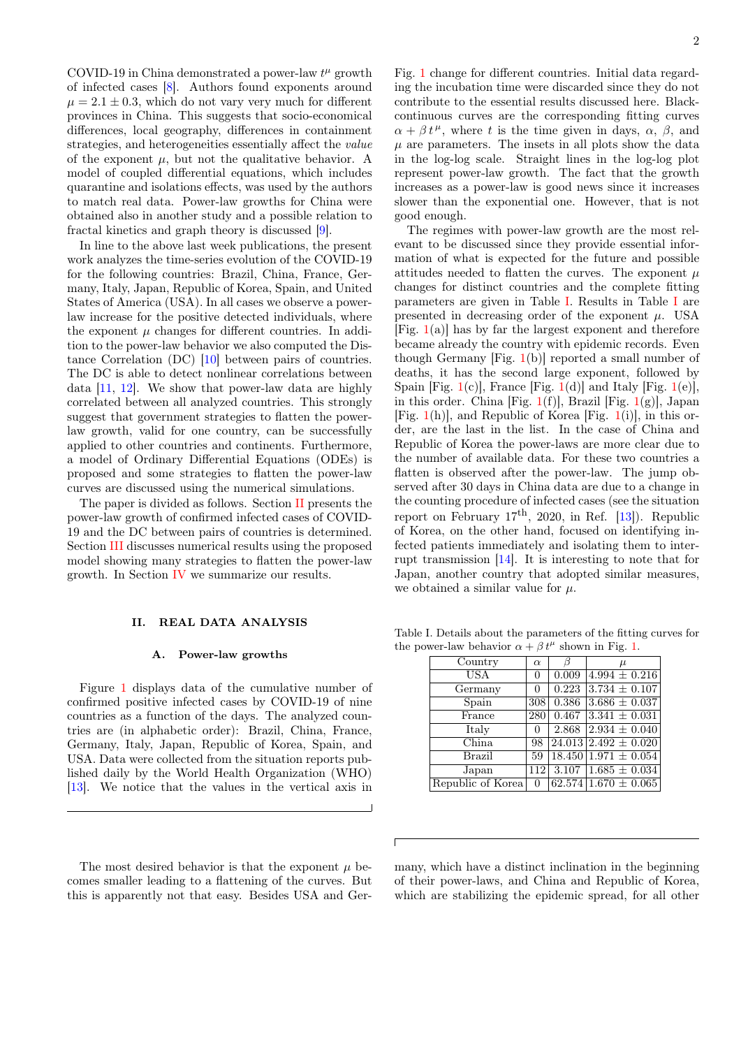COVID-19 in China demonstrated a power-law  $t^{\mu}$  growth of infected cases [\[8\]](#page-9-3). Authors found exponents around  $\mu = 2.1 \pm 0.3$ , which do not vary very much for different provinces in China. This suggests that socio-economical differences, local geography, differences in containment strategies, and heterogeneities essentially affect the value of the exponent  $\mu$ , but not the qualitative behavior. A model of coupled differential equations, which includes quarantine and isolations effects, was used by the authors to match real data. Power-law growths for China were obtained also in another study and a possible relation to fractal kinetics and graph theory is discussed [\[9\]](#page-9-4).

In line to the above last week publications, the present work analyzes the time-series evolution of the COVID-19 for the following countries: Brazil, China, France, Germany, Italy, Japan, Republic of Korea, Spain, and United States of America (USA). In all cases we observe a powerlaw increase for the positive detected individuals, where the exponent  $\mu$  changes for different countries. In addition to the power-law behavior we also computed the Distance Correlation (DC) [\[10\]](#page-9-5) between pairs of countries. The DC is able to detect nonlinear correlations between data [\[11,](#page-9-6) [12\]](#page-9-7). We show that power-law data are highly correlated between all analyzed countries. This strongly suggest that government strategies to flatten the powerlaw growth, valid for one country, can be successfully applied to other countries and continents. Furthermore, a model of Ordinary Differential Equations (ODEs) is proposed and some strategies to flatten the power-law curves are discussed using the numerical simulations.

The paper is divided as follows. Section [II](#page-1-0) presents the power-law growth of confirmed infected cases of COVID-19 and the DC between pairs of countries is determined. Section [III](#page-3-0) discusses numerical results using the proposed model showing many strategies to flatten the power-law growth. In Section [IV](#page-6-0) we summarize our results.

### <span id="page-1-0"></span>II. REAL DATA ANALYSIS

### A. Power-law growths

Figure [1](#page-2-0) displays data of the cumulative number of confirmed positive infected cases by COVID-19 of nine countries as a function of the days. The analyzed countries are (in alphabetic order): Brazil, China, France, Germany, Italy, Japan, Republic of Korea, Spain, and USA. Data were collected from the situation reports published daily by the World Health Organization (WHO) [\[13\]](#page-9-8). We notice that the values in the vertical axis in

The most desired behavior is that the exponent  $\mu$  becomes smaller leading to a flattening of the curves. But this is apparently not that easy. Besides USA and GerFig. [1](#page-2-0) change for different countries. Initial data regarding the incubation time were discarded since they do not contribute to the essential results discussed here. Blackcontinuous curves are the corresponding fitting curves  $\alpha + \beta t^{\mu}$ , where t is the time given in days,  $\alpha$ ,  $\beta$ , and  $\mu$  are parameters. The insets in all plots show the data in the log-log scale. Straight lines in the log-log plot represent power-law growth. The fact that the growth increases as a power-law is good news since it increases slower than the exponential one. However, that is not good enough.

The regimes with power-law growth are the most relevant to be discussed since they provide essential information of what is expected for the future and possible attitudes needed to flatten the curves. The exponent  $\mu$ changes for distinct countries and the complete fitting parameters are given in Table [I.](#page-1-1) Results in Table [I](#page-1-1) are presented in decreasing order of the exponent  $\mu$ . USA [Fig.  $1(a)$  $1(a)$ ] has by far the largest exponent and therefore became already the country with epidemic records. Even though Germany  $[Fig. 1(b)]$  $[Fig. 1(b)]$  $[Fig. 1(b)]$  reported a small number of deaths, it has the second large exponent, followed by Spain [Fig.  $1(c)$  $1(c)$ ], France [Fig.  $1(d)$ ] and Italy [Fig.  $1(e)$ ], in this order. China [Fig.  $1(f)$  $1(f)$ ], Brazil [Fig.  $1(g)$ ], Japan [Fig.  $1(h)$  $1(h)$ ], and Republic of Korea [Fig.  $1(i)$ ], in this order, are the last in the list. In the case of China and Republic of Korea the power-laws are more clear due to the number of available data. For these two countries a flatten is observed after the power-law. The jump observed after 30 days in China data are due to a change in the counting procedure of infected cases (see the situation report on February  $17<sup>th</sup>$ , 2020, in Ref. [\[13\]](#page-9-8)). Republic of Korea, on the other hand, focused on identifying infected patients immediately and isolating them to interrupt transmission [\[14\]](#page-9-9). It is interesting to note that for Japan, another country that adopted similar measures, we obtained a similar value for  $\mu$ .

Table I. Details about the parameters of the fitting curves for the power-law behavior  $\alpha + \beta t^{\mu}$  shown in Fig. [1.](#page-2-0)

<span id="page-1-1"></span>

| Country                   | $\alpha$ | b                      | $\mu$                        |
|---------------------------|----------|------------------------|------------------------------|
| $USA$                     | 0        | 0.009                  | $\overline{4.994} \pm 0.216$ |
| Germany                   | 0        | 0.223                  | $3.734 \pm 0.107$            |
| Spain                     | 308      | 0.386                  | $3.686 \pm 0.037$            |
| France                    | 280      | $\overline{0.467}$     | $3.341 \pm 0.031$            |
| Italy                     | 0        | 2.868                  | $2.934 \pm 0.040$            |
| $\overline{\text{China}}$ | 98       |                        | $24.013(2.492 \pm 0.020)$    |
| Brazil                    | 59       |                        | $18.450 1.971 \pm 0.054$     |
| Japan                     |          | $\overline{112}$ 3.107 | $1.685 \pm 0.034$            |
| Republic of Korea         | 0        |                        | $62.574\,1.670\pm0.065$      |

many, which have a distinct inclination in the beginning of their power-laws, and China and Republic of Korea, which are stabilizing the epidemic spread, for all other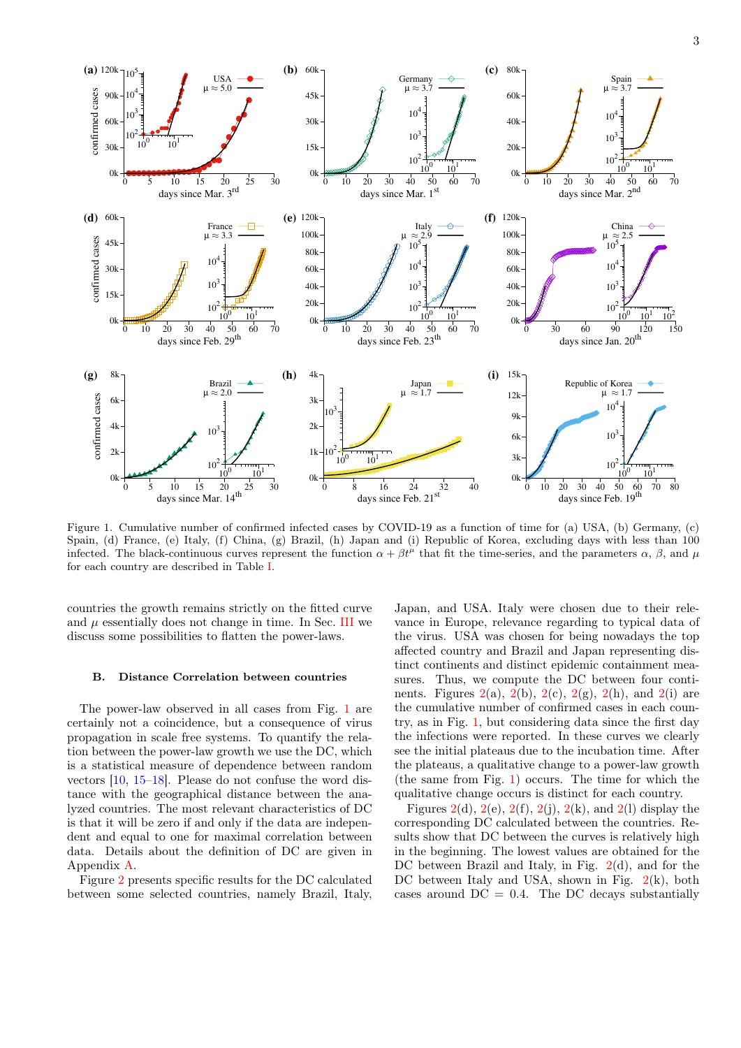

<span id="page-2-0"></span>Figure 1. Cumulative number of confirmed infected cases by COVID-19 as a function of time for (a) USA, (b) Germany, (c) Spain, (d) France, (e) Italy, (f) China, (g) Brazil, (h) Japan and (i) Republic of Korea, excluding days with less than 100 infected. The black-continuous curves represent the function  $\alpha + \beta t^{\mu}$  that fit the time-series, and the parameters  $\alpha$ ,  $\beta$ , and  $\mu$ for each country are described in Table [I.](#page-1-1)

countries the growth remains strictly on the fitted curve and  $\mu$  essentially does not change in time. In Sec. [III](#page-3-0) we discuss some possibilities to flatten the power-laws.

### B. Distance Correlation between countries

The power-law observed in all cases from Fig. [1](#page-2-0) are certainly not a coincidence, but a consequence of virus propagation in scale free systems. To quantify the relation between the power-law growth we use the DC, which is a statistical measure of dependence between random vectors [\[10,](#page-9-5) [15](#page-9-10)[–18\]](#page-9-11). Please do not confuse the word distance with the geographical distance between the analyzed countries. The most relevant characteristics of DC is that it will be zero if and only if the data are independent and equal to one for maximal correlation between data. Details about the definition of DC are given in Appendix [A.](#page-7-0)

Figure [2](#page-3-1) presents specific results for the DC calculated between some selected countries, namely Brazil, Italy, Japan, and USA. Italy were chosen due to their relevance in Europe, relevance regarding to typical data of the virus. USA was chosen for being nowadays the top affected country and Brazil and Japan representing distinct continents and distinct epidemic containment measures. Thus, we compute the DC between four continents. Figures  $2(a)$  $2(a)$ ,  $2(b)$ ,  $2(c)$ ,  $2(g)$ ,  $2(h)$ , and  $2(i)$  are the cumulative number of confirmed cases in each country, as in Fig. [1,](#page-2-0) but considering data since the first day the infections were reported. In these curves we clearly see the initial plateaus due to the incubation time. After the plateaus, a qualitative change to a power-law growth (the same from Fig. [1\)](#page-2-0) occurs. The time for which the qualitative change occurs is distinct for each country.

Figures [2\(](#page-3-1)d), 2(e), 2(f), 2(j), 2(k), and 2(l) display the corresponding DC calculated between the countries. Results show that DC between the curves is relatively high in the beginning. The lowest values are obtained for the DC between Brazil and Italy, in Fig. [2\(](#page-3-1)d), and for the DC between Italy and USA, shown in Fig.  $2(k)$  $2(k)$ , both cases around  $DC = 0.4$ . The DC decays substantially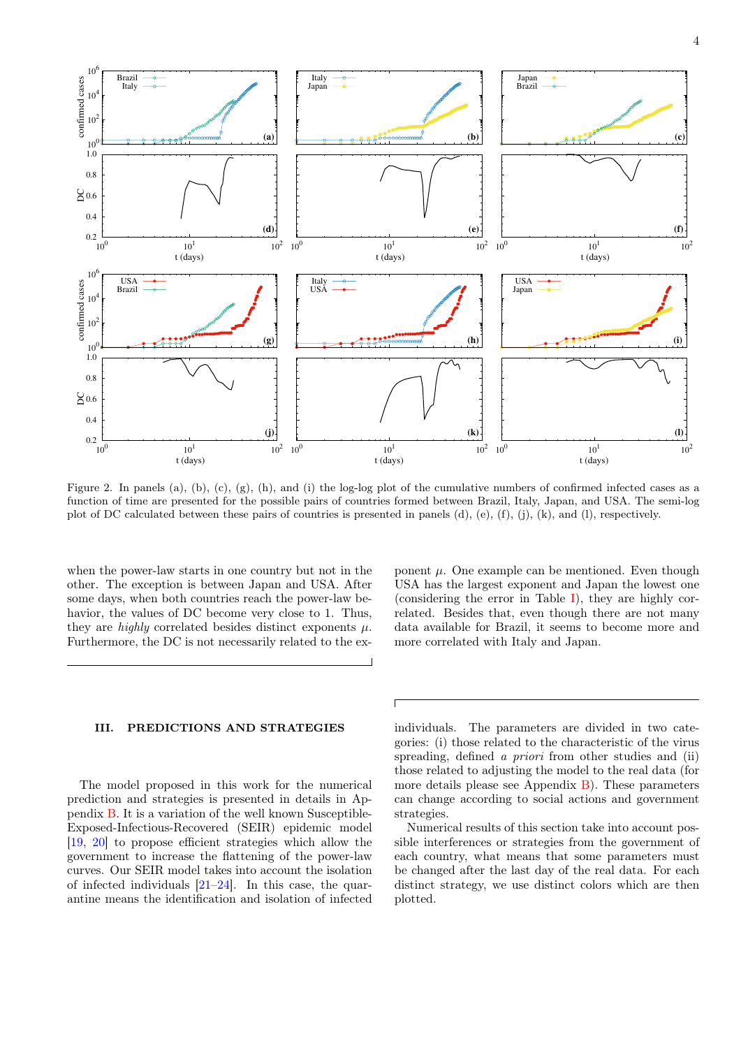

<span id="page-3-1"></span>Figure 2. In panels (a), (b), (c), (g), (h), and (i) the log-log plot of the cumulative numbers of confirmed infected cases as a function of time are presented for the possible pairs of countries formed between Brazil, Italy, Japan, and USA. The semi-log plot of DC calculated between these pairs of countries is presented in panels (d), (e), (f), (j), (k), and (l), respectively.

when the power-law starts in one country but not in the other. The exception is between Japan and USA. After some days, when both countries reach the power-law behavior, the values of DC become very close to 1. Thus, they are *highly* correlated besides distinct exponents  $\mu$ . Furthermore, the DC is not necessarily related to the ex-

## <span id="page-3-0"></span>III. PREDICTIONS AND STRATEGIES

The model proposed in this work for the numerical prediction and strategies is presented in details in Appendix [B.](#page-7-1) It is a variation of the well known Susceptible-Exposed-Infectious-Recovered (SEIR) epidemic model [\[19,](#page-9-12) [20\]](#page-9-13) to propose efficient strategies which allow the government to increase the flattening of the power-law curves. Our SEIR model takes into account the isolation of infected individuals  $[21-24]$  $[21-24]$ . In this case, the quarantine means the identification and isolation of infected ponent  $\mu$ . One example can be mentioned. Even though USA has the largest exponent and Japan the lowest one (considering the error in Table [I\)](#page-1-1), they are highly correlated. Besides that, even though there are not many data available for Brazil, it seems to become more and more correlated with Italy and Japan.

individuals. The parameters are divided in two categories: (i) those related to the characteristic of the virus spreading, defined a *priori* from other studies and (ii) those related to adjusting the model to the real data (for more details please see Appendix  $\overline{B}$ ). These parameters can change according to social actions and government strategies.

Numerical results of this section take into account possible interferences or strategies from the government of each country, what means that some parameters must be changed after the last day of the real data. For each distinct strategy, we use distinct colors which are then plotted.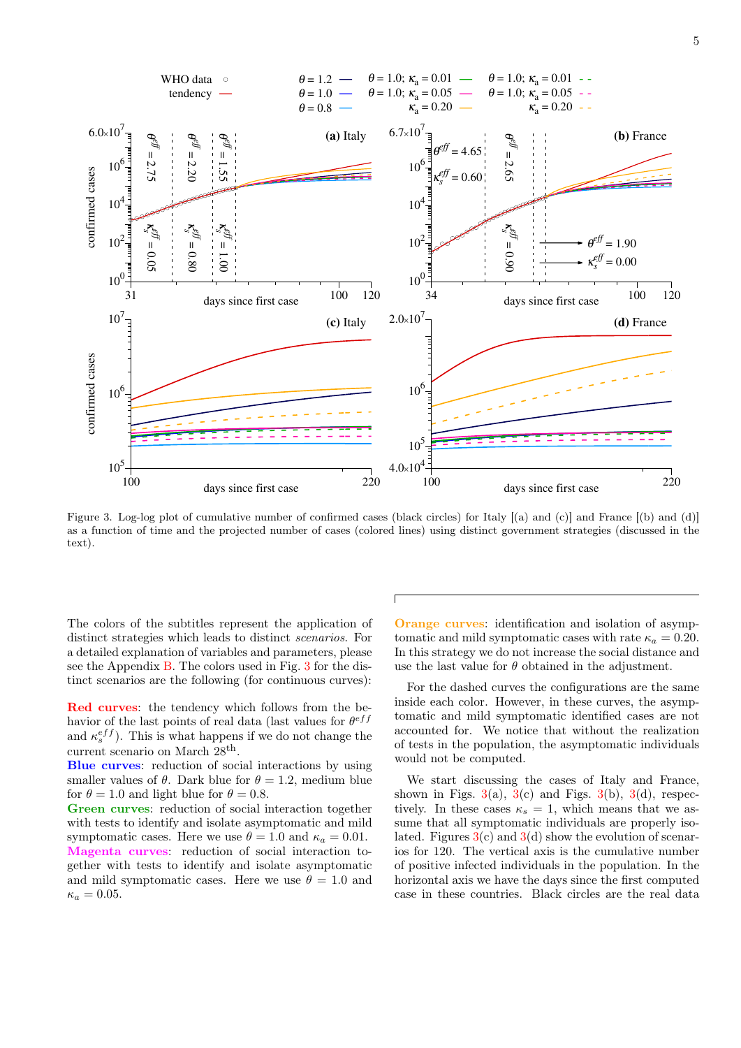

<span id="page-4-0"></span>Figure 3. Log-log plot of cumulative number of confirmed cases (black circles) for Italy  $[(a)$  and  $(c)]$  and France  $[(b)$  and  $(d)]$ as a function of time and the projected number of cases (colored lines) using distinct government strategies (discussed in the text).

The colors of the subtitles represent the application of distinct strategies which leads to distinct scenarios. For a detailed explanation of variables and parameters, please see the Appendix [B.](#page-7-1) The colors used in Fig. [3](#page-4-0) for the distinct scenarios are the following (for continuous curves):

Red curves: the tendency which follows from the behavior of the last points of real data (last values for  $\theta^{eff}$ and  $\kappa_s^{eff}$ ). This is what happens if we do not change the current scenario on March  $28<sup>th</sup>$ .

Blue curves: reduction of social interactions by using smaller values of  $\theta$ . Dark blue for  $\theta = 1.2$ , medium blue for  $\theta = 1.0$  and light blue for  $\theta = 0.8$ .

Green curves: reduction of social interaction together with tests to identify and isolate asymptomatic and mild symptomatic cases. Here we use  $\theta = 1.0$  and  $\kappa_a = 0.01$ . Magenta curves: reduction of social interaction together with tests to identify and isolate asymptomatic and mild symptomatic cases. Here we use  $\theta = 1.0$  and  $\kappa_a = 0.05.$ 

Orange curves: identification and isolation of asymptomatic and mild symptomatic cases with rate  $\kappa_a = 0.20$ . In this strategy we do not increase the social distance and use the last value for  $\theta$  obtained in the adjustment.

For the dashed curves the configurations are the same inside each color. However, in these curves, the asymptomatic and mild symptomatic identified cases are not accounted for. We notice that without the realization of tests in the population, the asymptomatic individuals would not be computed.

We start discussing the cases of Italy and France, shown in Figs.  $3(a)$  $3(a)$ ,  $3(c)$  and Figs.  $3(b)$ ,  $3(d)$ , respectively. In these cases  $\kappa_s = 1$ , which means that we assume that all symptomatic individuals are properly isolated. Figures  $3(c)$  $3(c)$  and  $3(d)$  show the evolution of scenarios for 120. The vertical axis is the cumulative number of positive infected individuals in the population. In the horizontal axis we have the days since the first computed case in these countries. Black circles are the real data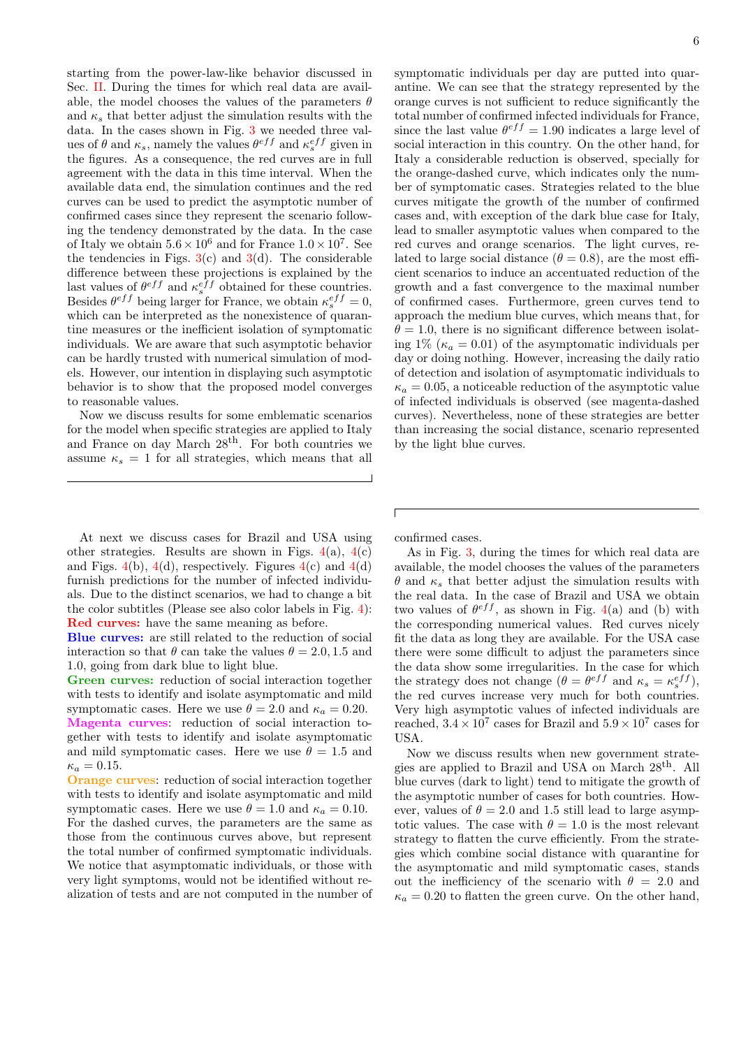starting from the power-law-like behavior discussed in Sec. [II.](#page-1-0) During the times for which real data are available, the model chooses the values of the parameters  $\theta$ and  $\kappa_s$  that better adjust the simulation results with the data. In the cases shown in Fig. [3](#page-4-0) we needed three values of  $\theta$  and  $\kappa_s$ , namely the values  $\theta^{eff}$  and  $\kappa_s^{eff}$  given in the figures. As a consequence, the red curves are in full agreement with the data in this time interval. When the available data end, the simulation continues and the red curves can be used to predict the asymptotic number of confirmed cases since they represent the scenario following the tendency demonstrated by the data. In the case of Italy we obtain  $5.6 \times 10^6$  and for France  $1.0 \times 10^7$ . See the tendencies in Figs.  $3(c)$  $3(c)$  and  $3(d)$ . The considerable difference between these projections is explained by the last values of  $\theta^{eff}$  and  $\kappa_s^{eff}$  obtained for these countries. Besides  $\theta^{eff}$  being larger for France, we obtain  $\kappa_s^{eff} = 0$ , which can be interpreted as the nonexistence of quarantine measures or the inefficient isolation of symptomatic individuals. We are aware that such asymptotic behavior can be hardly trusted with numerical simulation of models. However, our intention in displaying such asymptotic behavior is to show that the proposed model converges to reasonable values.

Now we discuss results for some emblematic scenarios for the model when specific strategies are applied to Italy and France on day March 28th . For both countries we assume  $\kappa_s = 1$  for all strategies, which means that all

At next we discuss cases for Brazil and USA using other strategies. Results are shown in Figs.  $4(a)$  $4(a)$ ,  $4(c)$ and Figs.  $4(b)$  $4(b)$ ,  $4(d)$ , respectively. Figures  $4(c)$  and  $4(d)$ furnish predictions for the number of infected individuals. Due to the distinct scenarios, we had to change a bit the color subtitles (Please see also color labels in Fig. [4\)](#page-6-1): Red curves: have the same meaning as before.

Blue curves: are still related to the reduction of social interaction so that  $\theta$  can take the values  $\theta = 2.0, 1.5$  and 1.0, going from dark blue to light blue.

Green curves: reduction of social interaction together with tests to identify and isolate asymptomatic and mild symptomatic cases. Here we use  $\theta = 2.0$  and  $\kappa_a = 0.20$ . Magenta curves: reduction of social interaction together with tests to identify and isolate asymptomatic and mild symptomatic cases. Here we use  $\theta = 1.5$  and  $\kappa_a = 0.15$ .

Orange curves: reduction of social interaction together with tests to identify and isolate asymptomatic and mild symptomatic cases. Here we use  $\theta = 1.0$  and  $\kappa_a = 0.10$ . For the dashed curves, the parameters are the same as those from the continuous curves above, but represent the total number of confirmed symptomatic individuals. We notice that asymptomatic individuals, or those with very light symptoms, would not be identified without realization of tests and are not computed in the number of symptomatic individuals per day are putted into quarantine. We can see that the strategy represented by the orange curves is not sufficient to reduce significantly the total number of confirmed infected individuals for France, since the last value  $\theta^{eff} = 1.90$  indicates a large level of social interaction in this country. On the other hand, for Italy a considerable reduction is observed, specially for the orange-dashed curve, which indicates only the number of symptomatic cases. Strategies related to the blue curves mitigate the growth of the number of confirmed cases and, with exception of the dark blue case for Italy, lead to smaller asymptotic values when compared to the red curves and orange scenarios. The light curves, related to large social distance  $(\theta = 0.8)$ , are the most efficient scenarios to induce an accentuated reduction of the growth and a fast convergence to the maximal number of confirmed cases. Furthermore, green curves tend to approach the medium blue curves, which means that, for  $\theta = 1.0$ , there is no significant difference between isolating 1% ( $\kappa_a = 0.01$ ) of the asymptomatic individuals per day or doing nothing. However, increasing the daily ratio of detection and isolation of asymptomatic individuals to  $\kappa_a = 0.05$ , a noticeable reduction of the asymptotic value of infected individuals is observed (see magenta-dashed curves). Nevertheless, none of these strategies are better than increasing the social distance, scenario represented by the light blue curves.

confirmed cases.

As in Fig. [3,](#page-4-0) during the times for which real data are available, the model chooses the values of the parameters  $\theta$  and  $\kappa_s$  that better adjust the simulation results with the real data. In the case of Brazil and USA we obtain two values of  $\theta^{eff}$ , as shown in Fig. [4\(](#page-6-1)a) and (b) with the corresponding numerical values. Red curves nicely fit the data as long they are available. For the USA case there were some difficult to adjust the parameters since the data show some irregularities. In the case for which the strategy does not change  $(\theta = \theta^{eff} \text{ and } \kappa_s = \kappa_s^{eff}),$ the red curves increase very much for both countries. Very high asymptotic values of infected individuals are reached,  $3.4 \times 10^7$  cases for Brazil and  $5.9 \times 10^7$  cases for USA.

Now we discuss results when new government strategies are applied to Brazil and USA on March 28th. All blue curves (dark to light) tend to mitigate the growth of the asymptotic number of cases for both countries. However, values of  $\theta = 2.0$  and 1.5 still lead to large asymptotic values. The case with  $\theta = 1.0$  is the most relevant strategy to flatten the curve efficiently. From the strategies which combine social distance with quarantine for the asymptomatic and mild symptomatic cases, stands out the inefficiency of the scenario with  $\theta = 2.0$  and  $\kappa_a = 0.20$  to flatten the green curve. On the other hand,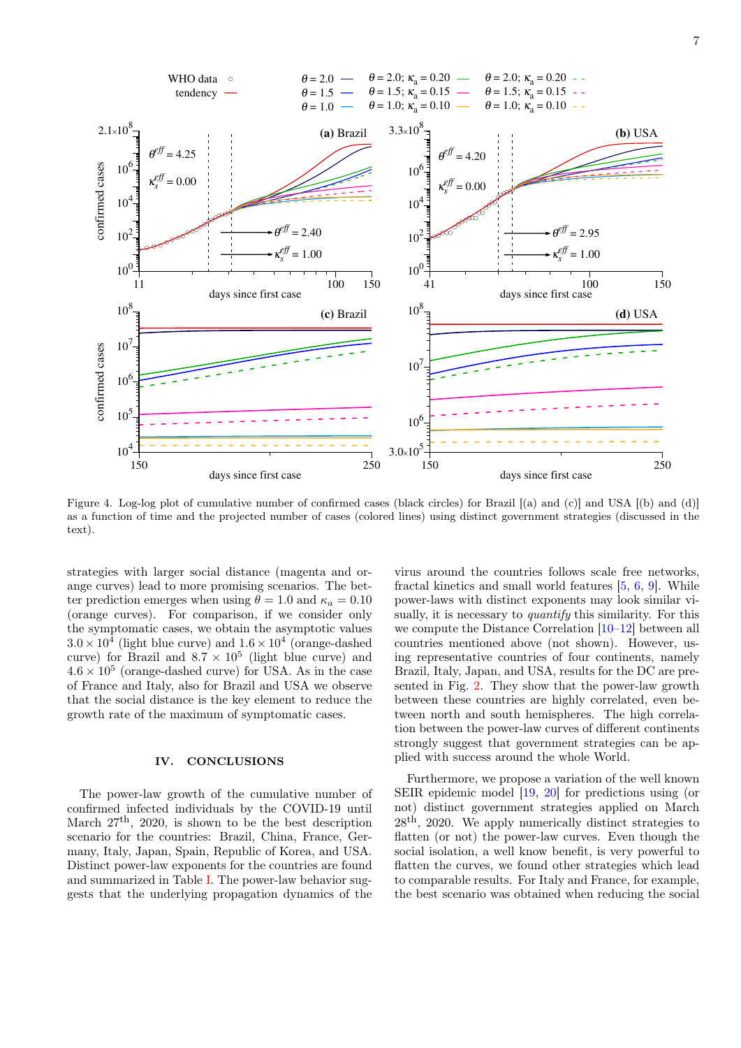

<span id="page-6-1"></span>Figure 4. Log-log plot of cumulative number of confirmed cases (black circles) for Brazil [(a) and (c)] and USA [(b) and (d)] as a function of time and the projected number of cases (colored lines) using distinct government strategies (discussed in the text).

strategies with larger social distance (magenta and orange curves) lead to more promising scenarios. The better prediction emerges when using  $\theta = 1.0$  and  $\kappa_a = 0.10$ (orange curves). For comparison, if we consider only the symptomatic cases, we obtain the asymptotic values  $3.0 \times 10^4$  (light blue curve) and  $1.6 \times 10^4$  (orange-dashed curve) for Brazil and  $8.7 \times 10^5$  (light blue curve) and  $4.6 \times 10^5$  (orange-dashed curve) for USA. As in the case of France and Italy, also for Brazil and USA we observe that the social distance is the key element to reduce the growth rate of the maximum of symptomatic cases.

### <span id="page-6-0"></span>IV. CONCLUSIONS

The power-law growth of the cumulative number of confirmed infected individuals by the COVID-19 until March 27th, 2020, is shown to be the best description scenario for the countries: Brazil, China, France, Germany, Italy, Japan, Spain, Republic of Korea, and USA. Distinct power-law exponents for the countries are found and summarized in Table [I.](#page-1-1) The power-law behavior suggests that the underlying propagation dynamics of the virus around the countries follows scale free networks, fractal kinetics and small world features [\[5,](#page-9-0) [6,](#page-9-1) [9\]](#page-9-4). While power-laws with distinct exponents may look similar visually, it is necessary to *quantify* this similarity. For this we compute the Distance Correlation [\[10–](#page-9-5)[12\]](#page-9-7) between all countries mentioned above (not shown). However, using representative countries of four continents, namely Brazil, Italy, Japan, and USA, results for the DC are presented in Fig. [2.](#page-3-1) They show that the power-law growth between these countries are highly correlated, even between north and south hemispheres. The high correlation between the power-law curves of different continents strongly suggest that government strategies can be applied with success around the whole World.

Furthermore, we propose a variation of the well known SEIR epidemic model [\[19,](#page-9-12) [20\]](#page-9-13) for predictions using (or not) distinct government strategies applied on March  $28<sup>th</sup>$ , 2020. We apply numerically distinct strategies to flatten (or not) the power-law curves. Even though the social isolation, a well know benefit, is very powerful to flatten the curves, we found other strategies which lead to comparable results. For Italy and France, for example, the best scenario was obtained when reducing the social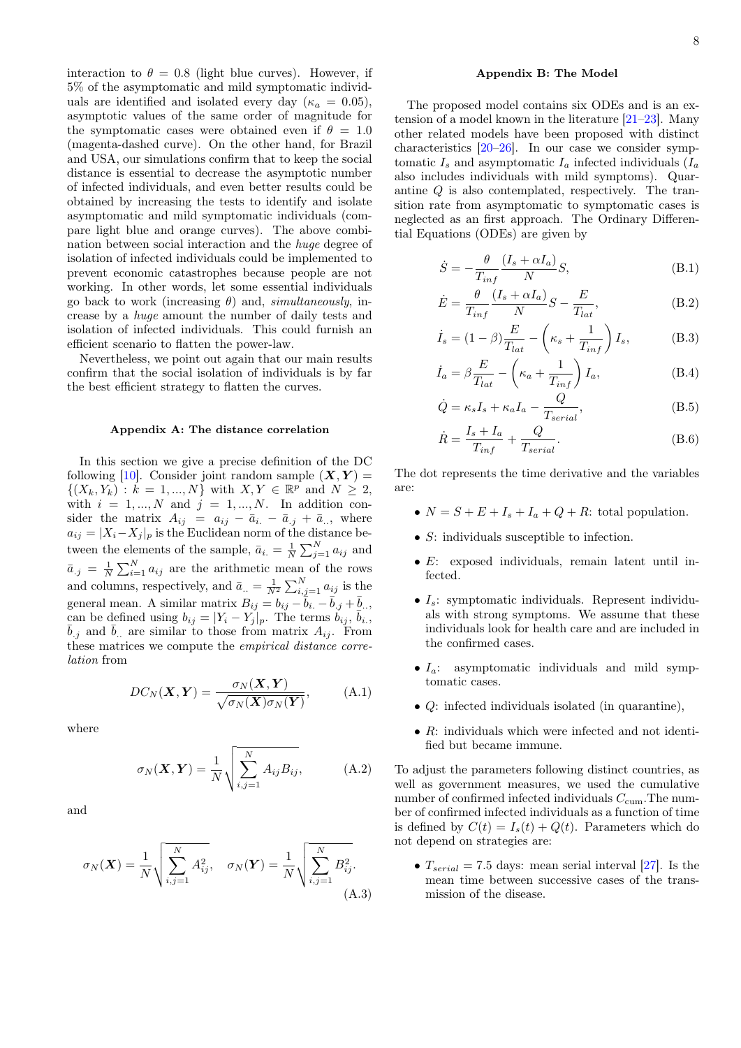interaction to  $\theta = 0.8$  (light blue curves). However, if 5% of the asymptomatic and mild symptomatic individuals are identified and isolated every day ( $\kappa_a = 0.05$ ), asymptotic values of the same order of magnitude for the symptomatic cases were obtained even if  $\theta = 1.0$ (magenta-dashed curve). On the other hand, for Brazil and USA, our simulations confirm that to keep the social distance is essential to decrease the asymptotic number of infected individuals, and even better results could be obtained by increasing the tests to identify and isolate asymptomatic and mild symptomatic individuals (compare light blue and orange curves). The above combination between social interaction and the huge degree of isolation of infected individuals could be implemented to prevent economic catastrophes because people are not working. In other words, let some essential individuals go back to work (increasing  $\theta$ ) and, simultaneously, increase by a huge amount the number of daily tests and isolation of infected individuals. This could furnish an efficient scenario to flatten the power-law.

Nevertheless, we point out again that our main results confirm that the social isolation of individuals is by far the best efficient strategy to flatten the curves.

## <span id="page-7-0"></span>Appendix A: The distance correlation

In this section we give a precise definition of the DC following [\[10\]](#page-9-5). Consider joint random sample  $(X, Y)$  =  $\{(X_k, Y_k) : k = 1, ..., N\}$  with  $X, Y \in \mathbb{R}^p$  and  $N \geq 2$ , with  $i = 1, ..., N$  and  $j = 1, ..., N$ . In addition consider the matrix  $A_{ij} = a_{ij} - \bar{a}_{i} - \bar{a}_{.j} + \bar{a}_{..}$ , where  $a_{ij} = |X_i - X_j|_p$  is the Euclidean norm of the distance between the elements of the sample,  $\bar{a}_{i.} = \frac{1}{N} \sum_{j=1}^{N} a_{ij}$  and  $\bar{a}_{.j} = \frac{1}{N} \sum_{i=1}^{N} a_{ij}$  are the arithmetic mean of the rows and columns, respectively, and  $\bar{a}_{..} = \frac{1}{N^2} \sum_{i,j=1}^{N} a_{ij}$  is the general mean. A similar matrix  $B_{ij} = b_{ij} - \bar{b}_i - \bar{b}_j + \bar{b}_i$ . can be defined using  $b_{ij} = |Y_i - Y_j|_p$ . The terms  $b_{ij}, \bar{b}_{i,j}$  $\bar{b}_{.j}$  and  $\bar{b}_{..}$  are similar to those from matrix  $A_{ij}$ . From these matrices we compute the empirical distance correlation from

$$
DC_N(\boldsymbol{X}, \boldsymbol{Y}) = \frac{\sigma_N(\boldsymbol{X}, \boldsymbol{Y})}{\sqrt{\sigma_N(\boldsymbol{X})\sigma_N(\boldsymbol{Y})}},
$$
 (A.1)

where

$$
\sigma_N(\boldsymbol{X}, \boldsymbol{Y}) = \frac{1}{N} \sqrt{\sum_{i,j=1}^N A_{ij} B_{ij}},
$$
 (A.2)

and

$$
\sigma_N(\boldsymbol{X}) = \frac{1}{N} \sqrt{\sum_{i,j=1}^N A_{ij}^2}, \quad \sigma_N(\boldsymbol{Y}) = \frac{1}{N} \sqrt{\sum_{i,j=1}^N B_{ij}^2}.
$$
\n(A.3)

# <span id="page-7-1"></span>Appendix B: The Model

The proposed model contains six ODEs and is an extension of a model known in the literature [\[21–](#page-9-14)[23\]](#page-9-16). Many other related models have been proposed with distinct characteristics [\[20](#page-9-13)[–26\]](#page-9-17). In our case we consider symptomatic  $I_s$  and asymptomatic  $I_a$  infected individuals  $(I_a$ also includes individuals with mild symptoms). Quarantine Q is also contemplated, respectively. The transition rate from asymptomatic to symptomatic cases is neglected as an first approach. The Ordinary Differential Equations (ODEs) are given by

$$
\dot{S} = -\frac{\theta}{T_{inf}} \frac{(I_s + \alpha I_a)}{N} S,
$$
\n(B.1)

$$
\dot{E} = \frac{\theta}{T_{inf}} \frac{(I_s + \alpha I_a)}{N} S - \frac{E}{T_{lat}},
$$
\n(B.2)

$$
\dot{I}_s = (1 - \beta) \frac{E}{T_{lat}} - \left(\kappa_s + \frac{1}{T_{inf}}\right) I_s, \tag{B.3}
$$

$$
\dot{I}_a = \beta \frac{E}{T_{lat}} - \left(\kappa_a + \frac{1}{T_{inf}}\right) I_a,\tag{B.4}
$$

<span id="page-7-2"></span>
$$
\dot{Q} = \kappa_s I_s + \kappa_a I_a - \frac{Q}{T_{serial}},
$$
\n(B.5)

$$
\dot{R} = \frac{I_s + I_a}{T_{inf}} + \frac{Q}{T_{serial}}.
$$
\n(B.6)

The dot represents the time derivative and the variables are:

- $N = S + E + I_s + I_a + Q + R$ : total population.
- S: individuals susceptible to infection.
- E: exposed individuals, remain latent until infected.
- $I_s$ : symptomatic individuals. Represent individuals with strong symptoms. We assume that these individuals look for health care and are included in the confirmed cases.
- $I_a$ : asymptomatic individuals and mild symptomatic cases.
- $Q$ : infected individuals isolated (in quarantine).
- $\bullet$  R: individuals which were infected and not identified but became immune.

To adjust the parameters following distinct countries, as well as government measures, we used the cumulative number of confirmed infected individuals  $C_{\text{cum}}$ . The number of confirmed infected individuals as a function of time is defined by  $C(t) = I_s(t) + Q(t)$ . Parameters which do not depend on strategies are:

•  $T_{serial} = 7.5$  days: mean serial interval [\[27\]](#page-9-18). Is the mean time between successive cases of the transmission of the disease.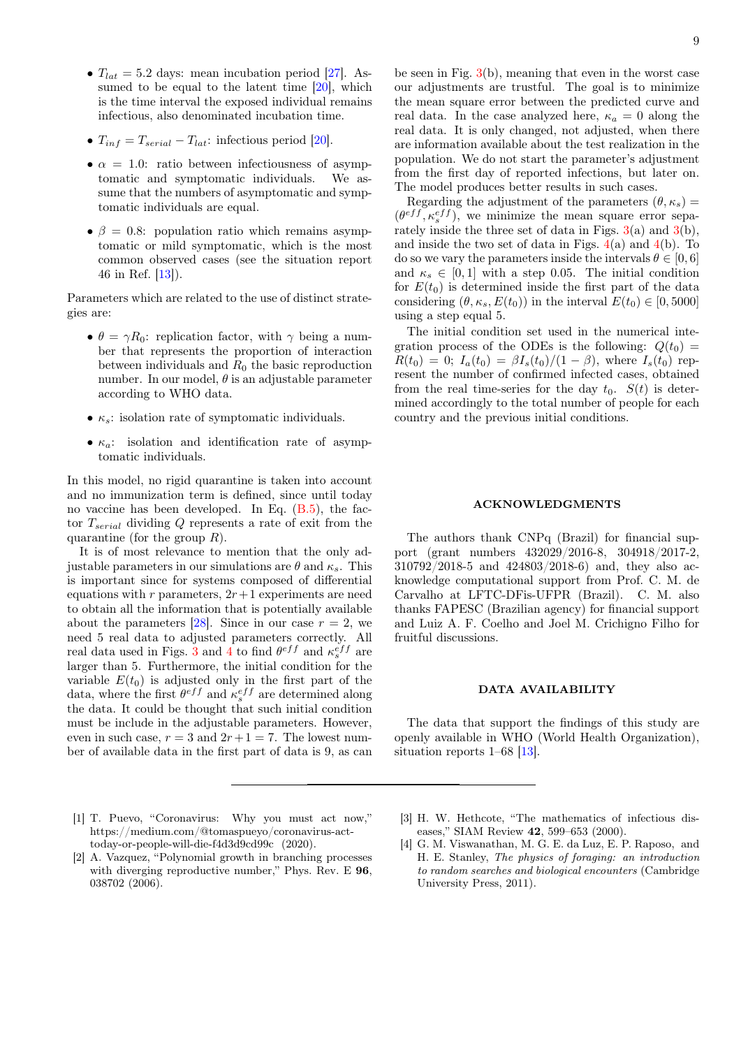- $T_{lat} = 5.2$  days: mean incubation period [\[27\]](#page-9-18). Assumed to be equal to the latent time  $[20]$ , which is the time interval the exposed individual remains infectious, also denominated incubation time.
- $T_{inf} = T_{serial} T_{lat}$ : infectious period [\[20\]](#page-9-13).
- $\alpha = 1.0$ : ratio between infectiousness of asymptomatic and symptomatic individuals. We astomatic and symptomatic individuals. sume that the numbers of asymptomatic and symptomatic individuals are equal.
- $\beta = 0.8$ : population ratio which remains asymptomatic or mild symptomatic, which is the most common observed cases (see the situation report 46 in Ref. [\[13\]](#page-9-8)).

Parameters which are related to the use of distinct strategies are:

- $\theta = \gamma R_0$ : replication factor, with  $\gamma$  being a number that represents the proportion of interaction between individuals and  $R_0$  the basic reproduction number. In our model,  $\theta$  is an adjustable parameter according to WHO data.
- $\kappa_s$ : isolation rate of symptomatic individuals.
- $\kappa_a$ : isolation and identification rate of asymptomatic individuals.

In this model, no rigid quarantine is taken into account and no immunization term is defined, since until today no vaccine has been developed. In Eq.  $(B.5)$ , the factor  $T_{serial}$  dividing Q represents a rate of exit from the quarantine (for the group  $R$ ).

It is of most relevance to mention that the only adjustable parameters in our simulations are  $\theta$  and  $\kappa_s$ . This is important since for systems composed of differential equations with  $r$  parameters,  $2r+1$  experiments are need to obtain all the information that is potentially available about the parameters [\[28\]](#page-9-19). Since in our case  $r = 2$ , we need 5 real data to adjusted parameters correctly. All real data used in Figs. [3](#page-4-0) and [4](#page-6-1) to find  $\theta^{eff}$  and  $\kappa_s^{eff}$  are larger than 5. Furthermore, the initial condition for the variable  $E(t_0)$  is adjusted only in the first part of the data, where the first  $\theta^{eff}$  and  $\kappa_s^{eff}$  are determined along the data. It could be thought that such initial condition must be include in the adjustable parameters. However, even in such case,  $r = 3$  and  $2r + 1 = 7$ . The lowest number of available data in the first part of data is 9, as can

- <span id="page-8-0"></span>[1] T. Puevo, "Coronavirus: Why you must act now," https://medium.com/@tomaspueyo/coronavirus-acttoday-or-people-will-die-f4d3d9cd99c (2020).
- <span id="page-8-1"></span>[2] A. Vazquez, "Polynomial growth in branching processes with diverging reproductive number," Phys. Rev. E 96, 038702 (2006).

be seen in Fig.  $3(b)$  $3(b)$ , meaning that even in the worst case our adjustments are trustful. The goal is to minimize the mean square error between the predicted curve and real data. In the case analyzed here,  $\kappa_a = 0$  along the real data. It is only changed, not adjusted, when there are information available about the test realization in the population. We do not start the parameter's adjustment from the first day of reported infections, but later on. The model produces better results in such cases.

Regarding the adjustment of the parameters  $(\theta, \kappa_s)$  =  $(\theta^{eff}, \kappa_s^{eff})$ , we minimize the mean square error separately inside the three set of data in Figs.  $3(a)$  $3(a)$  and  $3(b)$ , and inside the two set of data in Figs.  $4(a)$  $4(a)$  and  $4(b)$ . To do so we vary the parameters inside the intervals  $\theta \in [0, 6]$ and  $\kappa_s \in [0,1]$  with a step 0.05. The initial condition for  $E(t_0)$  is determined inside the first part of the data considering  $(\theta, \kappa_s, E(t_0))$  in the interval  $E(t_0) \in [0, 5000]$ using a step equal 5.

The initial condition set used in the numerical integration process of the ODEs is the following:  $Q(t_0)$  =  $R(t_0) = 0$ ;  $I_a(t_0) = \beta I_s(t_0)/(1-\beta)$ , where  $I_s(t_0)$  represent the number of confirmed infected cases, obtained from the real time-series for the day  $t_0$ .  $S(t)$  is determined accordingly to the total number of people for each country and the previous initial conditions.

### ACKNOWLEDGMENTS

The authors thank CNPq (Brazil) for financial support (grant numbers 432029/2016-8, 304918/2017-2, 310792/2018-5 and 424803/2018-6) and, they also acknowledge computational support from Prof. C. M. de Carvalho at LFTC-DFis-UFPR (Brazil). C. M. also thanks FAPESC (Brazilian agency) for financial support and Luiz A. F. Coelho and Joel M. Crichigno Filho for fruitful discussions.

### DATA AVAILABILITY

The data that support the findings of this study are openly available in WHO (World Health Organization), situation reports 1–68 [\[13\]](#page-9-8).

- <span id="page-8-2"></span>[3] H. W. Hethcote, "The mathematics of infectious diseases," SIAM Review 42[, 599–653 \(2000\).](http://dx.doi.org/ 10.1137/S0036144500371907)
- <span id="page-8-3"></span>[4] G. M. Viswanathan, M. G. E. da Luz, E. P. Raposo, and H. E. Stanley, The physics of foraging: an introduction to random searches and biological encounters (Cambridge University Press, 2011).